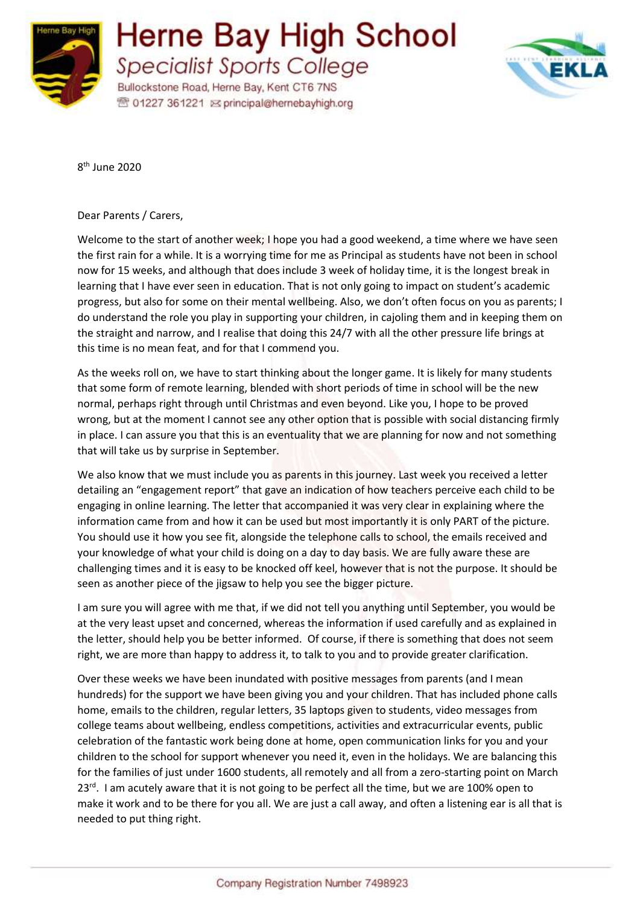

## **Herne Bay High School Specialist Sports College**

Bullockstone Road, Herne Bay, Kent CT6 7NS **图 01227 361221 区 principal@hernebayhigh.org** 



8 th June 2020

Dear Parents / Carers,

Welcome to the start of another week; I hope you had a good weekend, a time where we have seen the first rain for a while. It is a worrying time for me as Principal as students have not been in school now for 15 weeks, and although that does include 3 week of holiday time, it is the longest break in learning that I have ever seen in education. That is not only going to impact on student's academic progress, but also for some on their mental wellbeing. Also, we don't often focus on you as parents; I do understand the role you play in supporting your children, in cajoling them and in keeping them on the straight and narrow, and I realise that doing this 24/7 with all the other pressure life brings at this time is no mean feat, and for that I commend you.

As the weeks roll on, we have to start thinking about the longer game. It is likely for many students that some form of remote learning, blended with short periods of time in school will be the new normal, perhaps right through until Christmas and even beyond. Like you, I hope to be proved wrong, but at the moment I cannot see any other option that is possible with social distancing firmly in place. I can assure you that this is an eventuality that we are planning for now and not something that will take us by surprise in September.

We also know that we must include you as parents in this journey. Last week you received a letter detailing an "engagement report" that gave an indication of how teachers perceive each child to be engaging in online learning. The letter that accompanied it was very clear in explaining where the information came from and how it can be used but most importantly it is only PART of the picture. You should use it how you see fit, alongside the telephone calls to school, the emails received and your knowledge of what your child is doing on a day to day basis. We are fully aware these are challenging times and it is easy to be knocked off keel, however that is not the purpose. It should be seen as another piece of the jigsaw to help you see the bigger picture.

I am sure you will agree with me that, if we did not tell you anything until September, you would be at the very least upset and concerned, whereas the information if used carefully and as explained in the letter, should help you be better informed. Of course, if there is something that does not seem right, we are more than happy to address it, to talk to you and to provide greater clarification.

Over these weeks we have been inundated with positive messages from parents (and I mean hundreds) for the support we have been giving you and your children. That has included phone calls home, emails to the children, regular letters, 35 laptops given to students, video messages from college teams about wellbeing, endless competitions, activities and extracurricular events, public celebration of the fantastic work being done at home, open communication links for you and your children to the school for support whenever you need it, even in the holidays. We are balancing this for the families of just under 1600 students, all remotely and all from a zero-starting point on March 23<sup>rd</sup>. I am acutely aware that it is not going to be perfect all the time, but we are 100% open to make it work and to be there for you all. We are just a call away, and often a listening ear is all that is needed to put thing right.